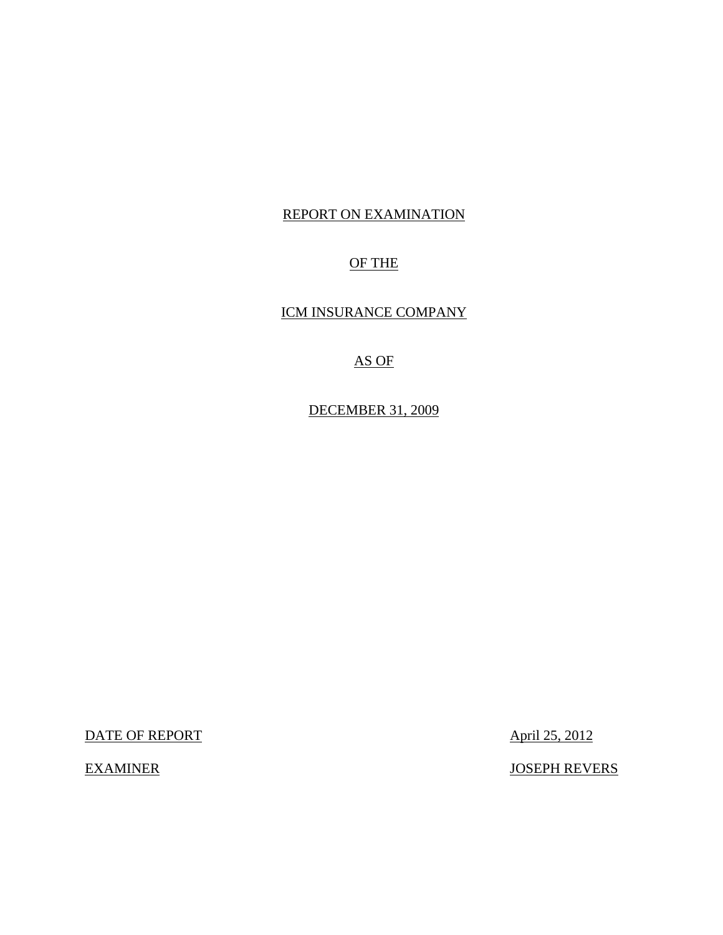### REPORT ON EXAMINATION

## OF THE

ICM INSURANCE COMPANY

# AS OF

DECEMBER 31, 2009

DATE OF REPORT April 25, 2012

EXAMINER JOSEPH REVERS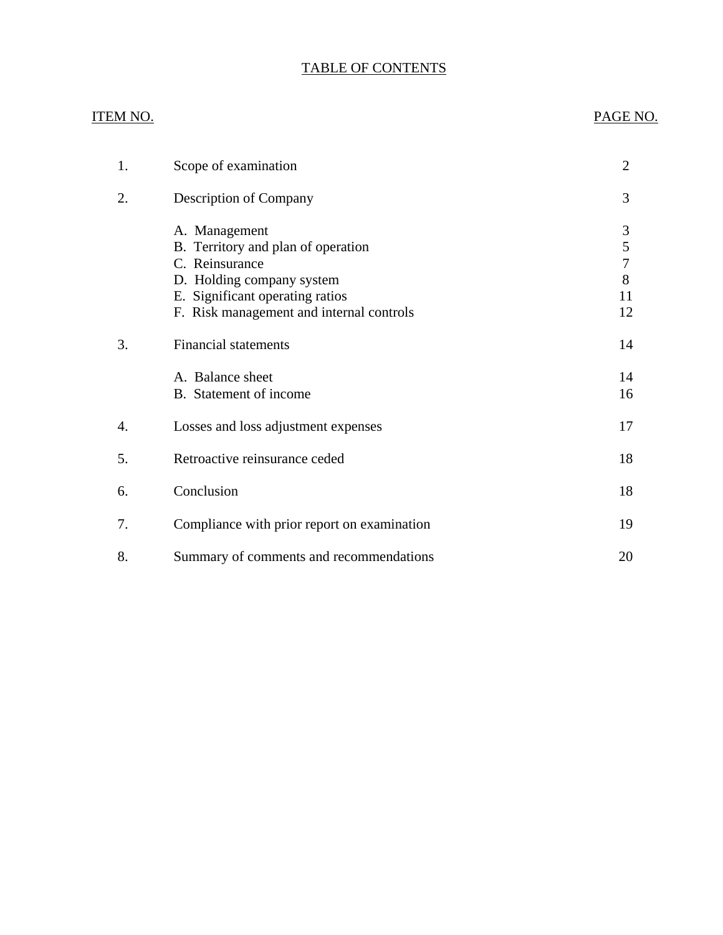# TABLE OF CONTENTS

# ITEM NO. PAGE NO. [1. Scope of examination 2](#page-3-0) [2. Description of Company 3](#page-4-0) [A. Management 3](#page-4-0)<br>B. Territory and plan of operation 5 B. Territory and plan of operation [C. Reinsurance 7](#page-8-0) [D. Holding company system 8](#page-9-0) E. Significant operating ratios 11 [F. Risk management and internal controls 12](#page-13-0) 3. Financial statements 14 A. Balance sheet 14 B. Statement of income 16 4. Losses and loss adjustment expenses 17 [5. Retroactive reinsurance ceded 18](#page-19-0) [6. Conclusion 18](#page-19-0) 7. Compliance with prior report on examination 19 8. Summary of comments and recommendations 20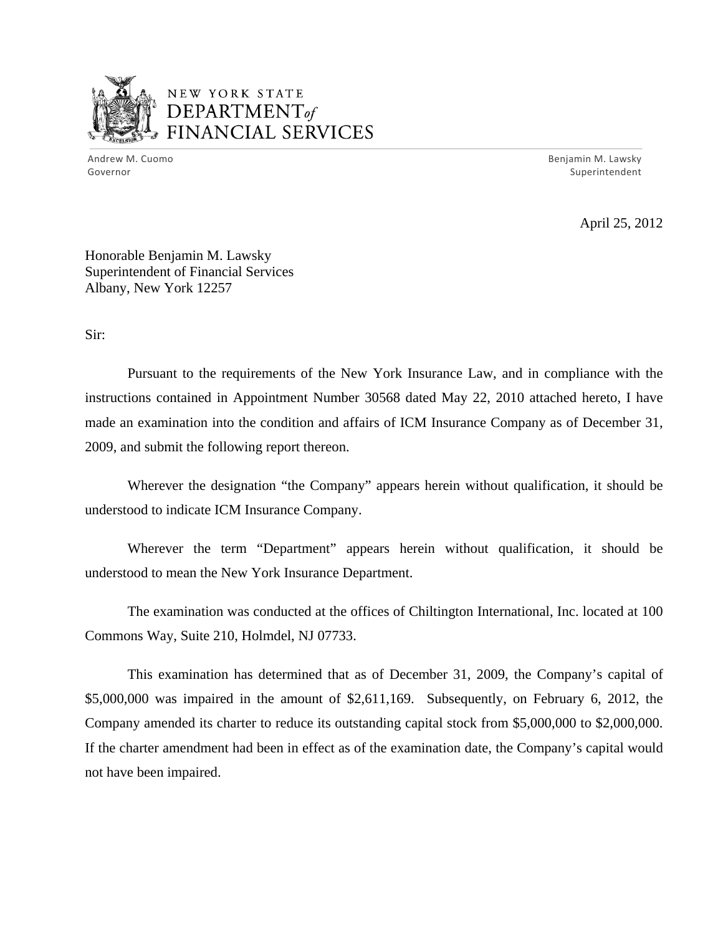

# NEW YORK STATE DEPARTMENTof *~,........,,* FINANCIAL SERVICES

 Andrew M. Cuomo Benjamin M. Lawsky Governor Superintendent

April 25, 2012

Honorable Benjamin M. Lawsky Superintendent of Financial Services Albany, New York 12257

Sir:

Pursuant to the requirements of the New York Insurance Law, and in compliance with the instructions contained in Appointment Number 30568 dated May 22, 2010 attached hereto, I have made an examination into the condition and affairs of ICM Insurance Company as of December 31, 2009, and submit the following report thereon.

Wherever the designation "the Company" appears herein without qualification, it should be understood to indicate ICM Insurance Company.

Wherever the term "Department" appears herein without qualification, it should be understood to mean the New York Insurance Department.

The examination was conducted at the offices of Chiltington International, Inc. located at 100 Commons Way, Suite 210, Holmdel, NJ 07733.

This examination has determined that as of December 31, 2009, the Company's capital of \$5,000,000 was impaired in the amount of \$2,611,169. Subsequently, on February 6, 2012, the Company amended its charter to reduce its outstanding capital stock from \$5,000,000 to \$2,000,000. If the charter amendment had been in effect as of the examination date, the Company's capital would not have been impaired.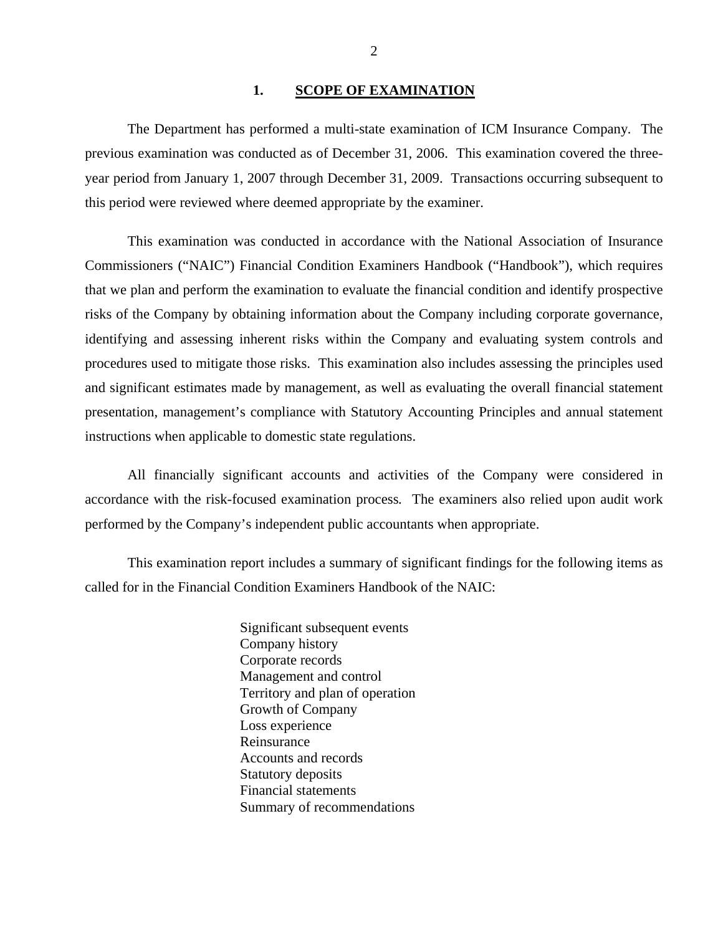#### 1. SCOPE OF EXAMINATION

<span id="page-3-0"></span>The Department has performed a multi-state examination of ICM Insurance Company*.* The previous examination was conducted as of December 31, 2006. This examination covered the threeyear period from January 1, 2007 through December 31, 2009. Transactions occurring subsequent to this period were reviewed where deemed appropriate by the examiner.

This examination was conducted in accordance with the National Association of Insurance Commissioners ("NAIC") Financial Condition Examiners Handbook ("Handbook"), which requires that we plan and perform the examination to evaluate the financial condition and identify prospective risks of the Company by obtaining information about the Company including corporate governance, identifying and assessing inherent risks within the Company and evaluating system controls and procedures used to mitigate those risks. This examination also includes assessing the principles used and significant estimates made by management, as well as evaluating the overall financial statement presentation, management's compliance with Statutory Accounting Principles and annual statement instructions when applicable to domestic state regulations.

All financially significant accounts and activities of the Company were considered in accordance with the risk-focused examination process*.* The examiners also relied upon audit work performed by the Company's independent public accountants when appropriate.

This examination report includes a summary of significant findings for the following items as called for in the Financial Condition Examiners Handbook of the NAIC:

> Significant subsequent events Company history Corporate records Management and control Territory and plan of operation Growth of Company Loss experience Reinsurance Accounts and records Statutory deposits Financial statements Summary of recommendations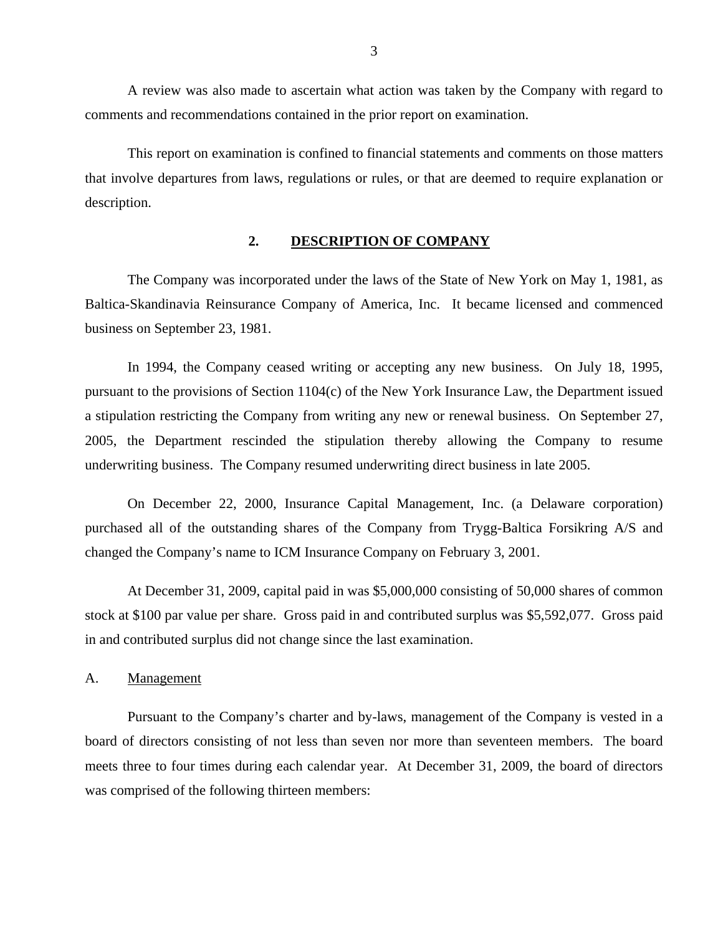<span id="page-4-0"></span>A review was also made to ascertain what action was taken by the Company with regard to comments and recommendations contained in the prior report on examination.

This report on examination is confined to financial statements and comments on those matters that involve departures from laws, regulations or rules, or that are deemed to require explanation or description.

#### **2. DESCRIPTION OF COMPANY**

The Company was incorporated under the laws of the State of New York on May 1, 1981, as Baltica-Skandinavia Reinsurance Company of America, Inc. It became licensed and commenced business on September 23, 1981.

In 1994, the Company ceased writing or accepting any new business. On July 18, 1995, pursuant to the provisions of Section 1104(c) of the New York Insurance Law, the Department issued a stipulation restricting the Company from writing any new or renewal business. On September 27, 2005, the Department rescinded the stipulation thereby allowing the Company to resume underwriting business. The Company resumed underwriting direct business in late 2005.

On December 22, 2000, Insurance Capital Management, Inc. (a Delaware corporation) purchased all of the outstanding shares of the Company from Trygg-Baltica Forsikring A/S and changed the Company's name to ICM Insurance Company on February 3, 2001.

At December 31, 2009, capital paid in was \$5,000,000 consisting of 50,000 shares of common stock at \$100 par value per share. Gross paid in and contributed surplus was \$5,592,077. Gross paid in and contributed surplus did not change since the last examination.

A. Management

Pursuant to the Company's charter and by-laws, management of the Company is vested in a board of directors consisting of not less than seven nor more than seventeen members. The board meets three to four times during each calendar year. At December 31, 2009, the board of directors was comprised of the following thirteen members: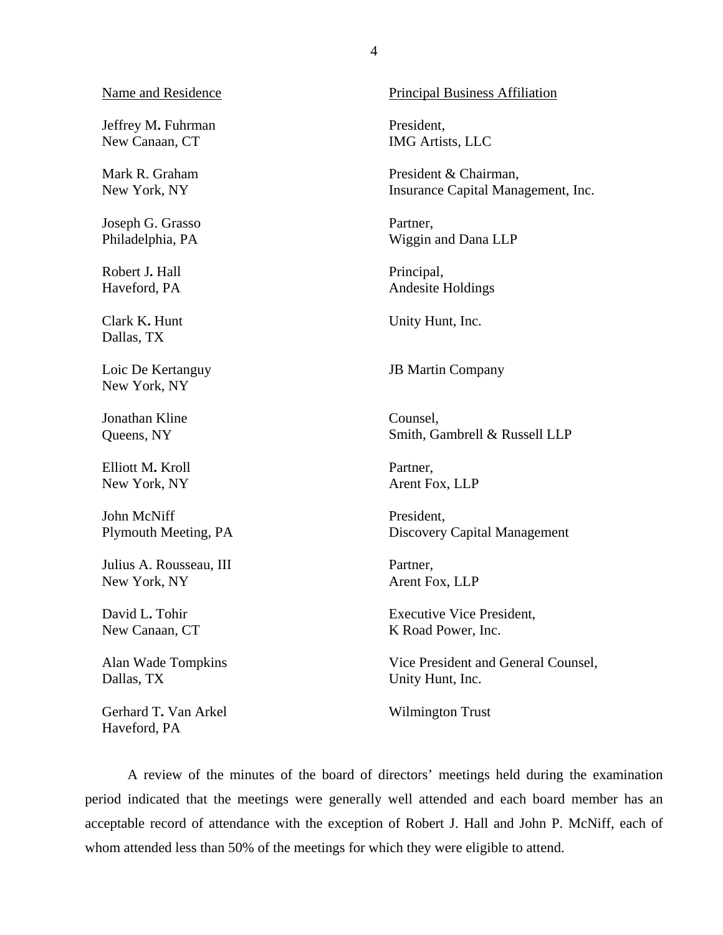#### Name and Residence

Jeffrey M**.** Fuhrman New Canaan, CT

Mark R. Graham New York, NY

Joseph G. Grasso Philadelphia, PA

Robert J**.** Hall Haveford, PA

Clark K**.** Hunt Dallas, TX

Loic De Kertanguy New York, NY

Jonathan Kline Queens, NY

Elliott M**.** Kroll New York, NY

John McNiff Plymouth Meeting, PA

Julius A. Rousseau, III New York, NY

David L**.** Tohir New Canaan, CT

Alan Wade Tompkins Dallas, TX

Gerhard T**.** Van Arkel Haveford, PA

Principal Business Affiliation

President, IMG Artists, LLC

President & Chairman, Insurance Capital Management, Inc.

Partner, Wiggin and Dana LLP

Principal, Andesite Holdings

Unity Hunt, Inc.

JB Martin Company

Counsel, Smith, Gambrell & Russell LLP

Partner, Arent Fox, LLP

President, Discovery Capital Management

Partner, Arent Fox, LLP

Executive Vice President, K Road Power, Inc.

Vice President and General Counsel, Unity Hunt, Inc.

Wilmington Trust

A review of the minutes of the board of directors' meetings held during the examination period indicated that the meetings were generally well attended and each board member has an acceptable record of attendance with the exception of Robert J. Hall and John P. McNiff, each of whom attended less than 50% of the meetings for which they were eligible to attend.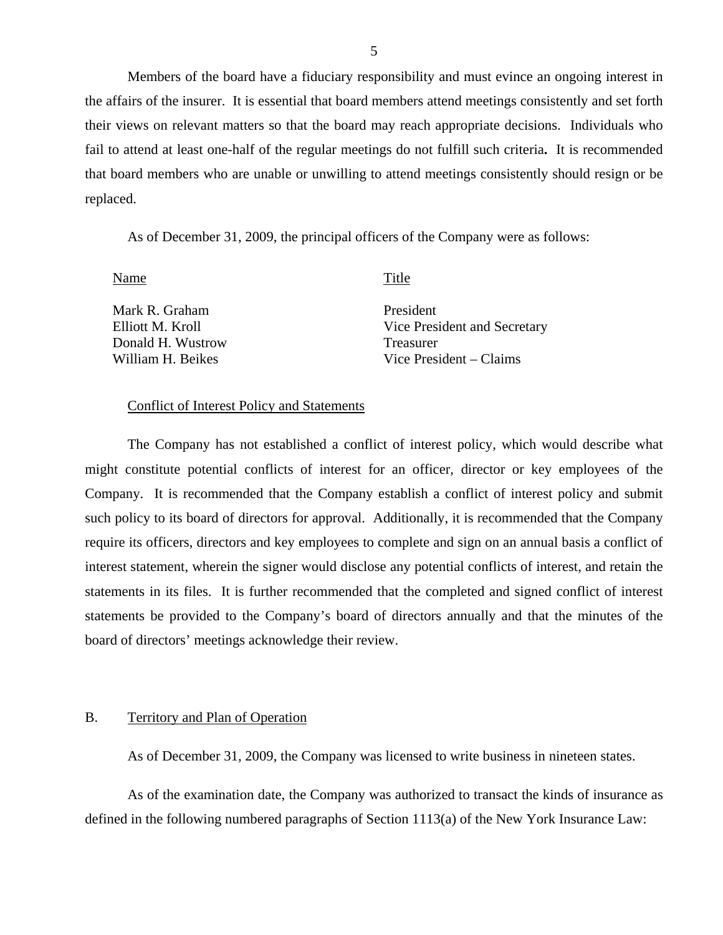Members of the board have a fiduciary responsibility and must evince an ongoing interest in the affairs of the insurer. It is essential that board members attend meetings consistently and set forth their views on relevant matters so that the board may reach appropriate decisions. Individuals who fail to attend at least one-half of the regular meetings do not fulfill such criteria**.** It is recommended that board members who are unable or unwilling to attend meetings consistently should resign or be replaced.

As of December 31, 2009, the principal officers of the Company were as follows:

Name Title

Mark R. Graham Elliott M. Kroll Donald H. Wustrow William H. Beikes

President Vice President and Secretary Treasurer Vice President – Claims

#### Conflict of Interest Policy and Statements

The Company has not established a conflict of interest policy, which would describe what might constitute potential conflicts of interest for an officer, director or key employees of the Company. It is recommended that the Company establish a conflict of interest policy and submit such policy to its board of directors for approval. Additionally, it is recommended that the Company require its officers, directors and key employees to complete and sign on an annual basis a conflict of interest statement, wherein the signer would disclose any potential conflicts of interest, and retain the statements in its files. It is further recommended that the completed and signed conflict of interest statements be provided to the Company's board of directors annually and that the minutes of the board of directors' meetings acknowledge their review.

#### B. Territory and Plan of Operation

As of December 31, 2009, the Company was licensed to write business in nineteen states.

As of the examination date, the Company was authorized to transact the kinds of insurance as defined in the following numbered paragraphs of Section 1113(a) of the New York Insurance Law: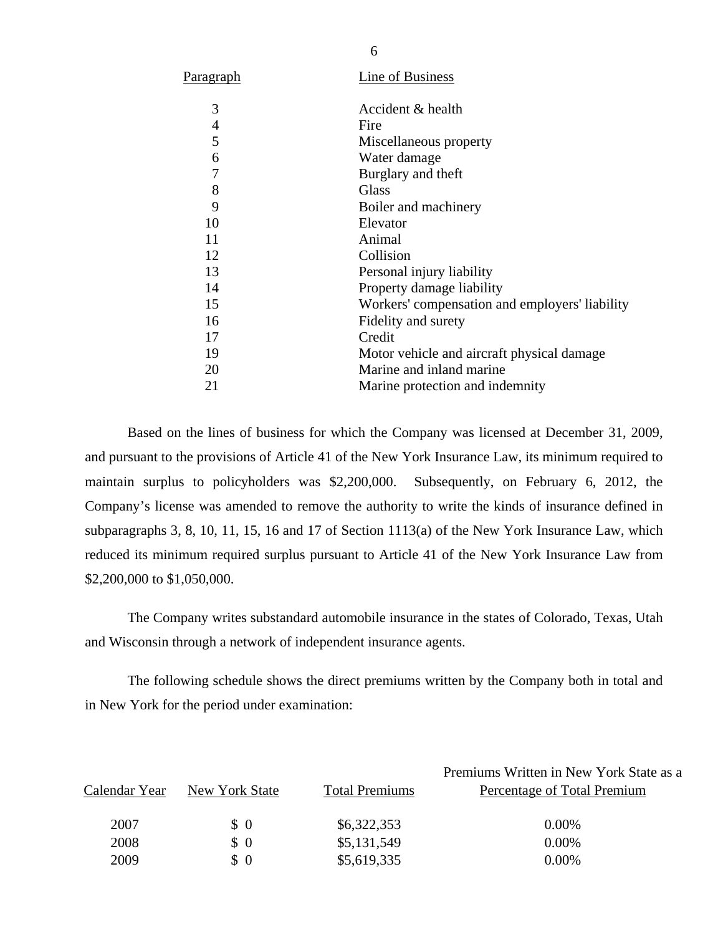| <u>Paragraph</u> | Line of Business                               |
|------------------|------------------------------------------------|
| 3                | Accident & health                              |
| 4                | Fire                                           |
| 5                | Miscellaneous property                         |
| 6                | Water damage                                   |
| 7                | Burglary and theft                             |
| 8                | Glass                                          |
| 9                | Boiler and machinery                           |
| 10               | Elevator                                       |
| 11               | Animal                                         |
| 12               | Collision                                      |
| 13               | Personal injury liability                      |
| 14               | Property damage liability                      |
| 15               | Workers' compensation and employers' liability |
| 16               | Fidelity and surety                            |
| 17               | Credit                                         |
| 19               | Motor vehicle and aircraft physical damage.    |
| 20               | Marine and inland marine                       |
| 21               | Marine protection and indemnity                |
|                  |                                                |

Based on the lines of business for which the Company was licensed at December 31, 2009, and pursuant to the provisions of Article 41 of the New York Insurance Law, its minimum required to maintain surplus to policyholders was \$2,200,000. Subsequently, on February 6, 2012, the Company's license was amended to remove the authority to write the kinds of insurance defined in subparagraphs 3, 8, 10, 11, 15, 16 and 17 of Section 1113(a) of the New York Insurance Law, which reduced its minimum required surplus pursuant to Article 41 of the New York Insurance Law from \$2,200,000 to \$1,050,000.

The Company writes substandard automobile insurance in the states of Colorado, Texas, Utah and Wisconsin through a network of independent insurance agents.

The following schedule shows the direct premiums written by the Company both in total and in New York for the period under examination:

|               |                |                       | Premiums Written in New York State as a |
|---------------|----------------|-----------------------|-----------------------------------------|
| Calendar Year | New York State | <b>Total Premiums</b> | Percentage of Total Premium             |
| 2007          | $\Omega$       | \$6,322,353           | $0.00\%$                                |
| 2008          | $\Omega$       | \$5,131,549           | 0.00%                                   |
| 2009          | $\Omega$       | \$5,619,335           | 0.00%                                   |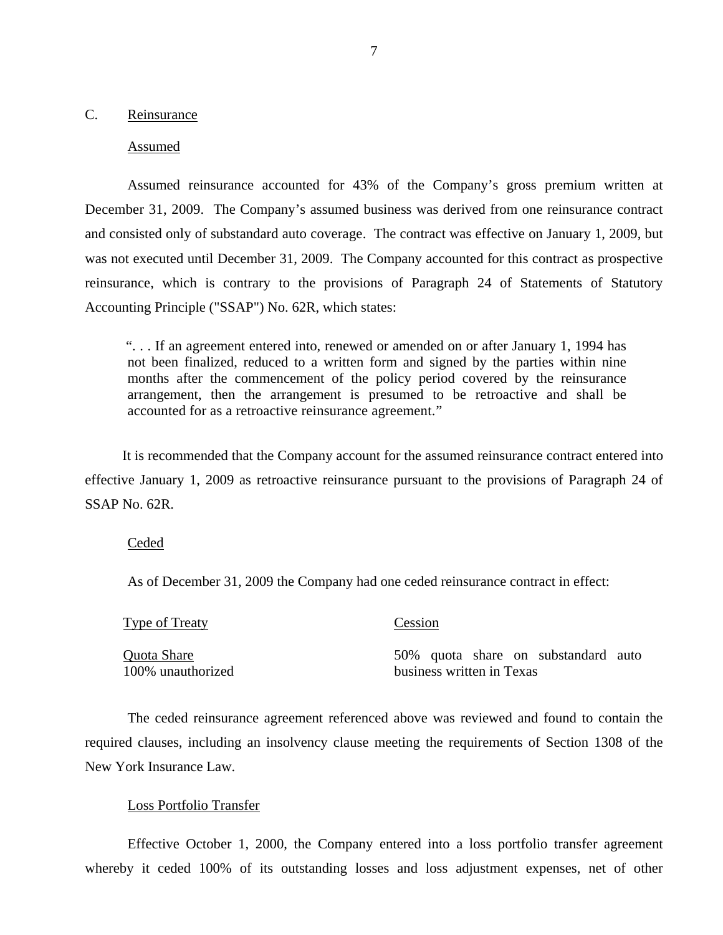#### <span id="page-8-0"></span>C. Reinsurance

#### Assumed

Assumed reinsurance accounted for 43% of the Company's gross premium written at December 31, 2009. The Company's assumed business was derived from one reinsurance contract and consisted only of substandard auto coverage. The contract was effective on January 1, 2009, but was not executed until December 31, 2009. The Company accounted for this contract as prospective reinsurance, which is contrary to the provisions of Paragraph 24 of Statements of Statutory Accounting Principle ("SSAP") No. 62R, which states:

". . . If an agreement entered into, renewed or amended on or after January 1, 1994 has not been finalized, reduced to a written form and signed by the parties within nine months after the commencement of the policy period covered by the reinsurance arrangement, then the arrangement is presumed to be retroactive and shall be accounted for as a retroactive reinsurance agreement."

It is recommended that the Company account for the assumed reinsurance contract entered into effective January 1, 2009 as retroactive reinsurance pursuant to the provisions of Paragraph 24 of SSAP No. 62R.

#### Ceded

As of December 31, 2009 the Company had one ceded reinsurance contract in effect:

| Type of Treaty    | Cession                             |  |  |
|-------------------|-------------------------------------|--|--|
| Quota Share       | 50% quota share on substandard auto |  |  |
| 100% unauthorized | business written in Texas           |  |  |

The ceded reinsurance agreement referenced above was reviewed and found to contain the required clauses, including an insolvency clause meeting the requirements of Section 1308 of the New York Insurance Law.

#### Loss Portfolio Transfer

Effective October 1, 2000, the Company entered into a loss portfolio transfer agreement whereby it ceded 100% of its outstanding losses and loss adjustment expenses, net of other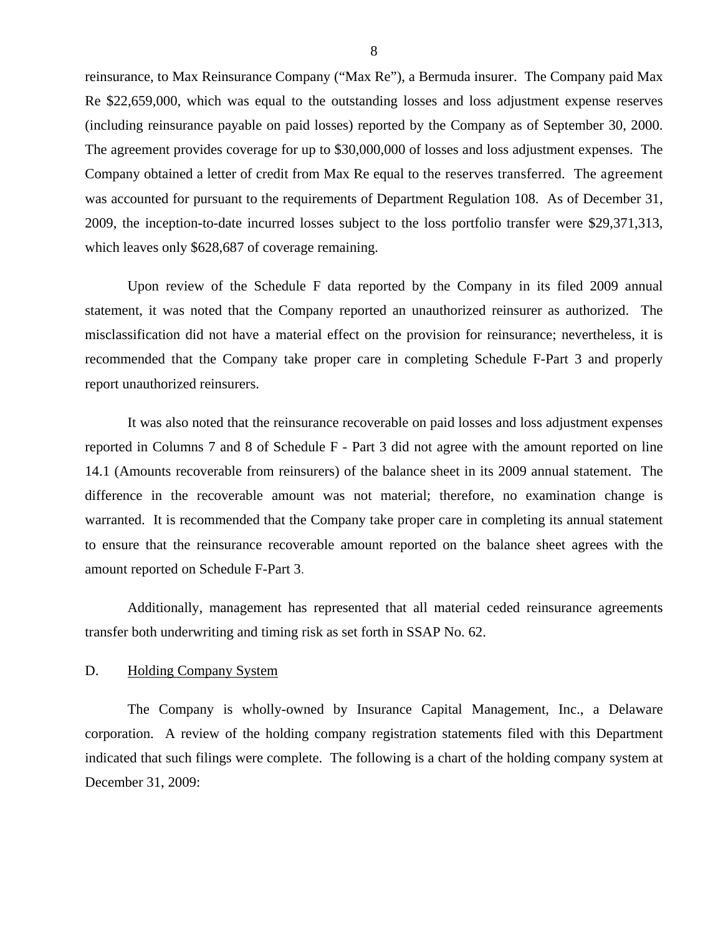<span id="page-9-0"></span> Company obtained a letter of credit from Max Re equal to the reserves transferred. The agreement reinsurance, to Max Reinsurance Company ("Max Re"), a Bermuda insurer. The Company paid Max Re \$22,659,000, which was equal to the outstanding losses and loss adjustment expense reserves (including reinsurance payable on paid losses) reported by the Company as of September 30, 2000. The agreement provides coverage for up to \$30,000,000 of losses and loss adjustment expenses. The was accounted for pursuant to the requirements of Department Regulation 108. As of December 31, 2009, the inception-to-date incurred losses subject to the loss portfolio transfer were \$29,371,313, which leaves only \$628,687 of coverage remaining.

Upon review of the Schedule F data reported by the Company in its filed 2009 annual statement, it was noted that the Company reported an unauthorized reinsurer as authorized. The misclassification did not have a material effect on the provision for reinsurance; nevertheless, it is recommended that the Company take proper care in completing Schedule F-Part 3 and properly report unauthorized reinsurers.

It was also noted that the reinsurance recoverable on paid losses and loss adjustment expenses reported in Columns 7 and 8 of Schedule F - Part 3 did not agree with the amount reported on line 14.1 (Amounts recoverable from reinsurers) of the balance sheet in its 2009 annual statement. The difference in the recoverable amount was not material; therefore, no examination change is warranted. It is recommended that the Company take proper care in completing its annual statement to ensure that the reinsurance recoverable amount reported on the balance sheet agrees with the amount reported on Schedule F-Part 3.

Additionally, management has represented that all material ceded reinsurance agreements transfer both underwriting and timing risk as set forth in SSAP No. 62.

#### D. Holding Company System

The Company is wholly-owned by Insurance Capital Management, Inc., a Delaware corporation. A review of the holding company registration statements filed with this Department indicated that such filings were complete. The following is a chart of the holding company system at December 31, 2009: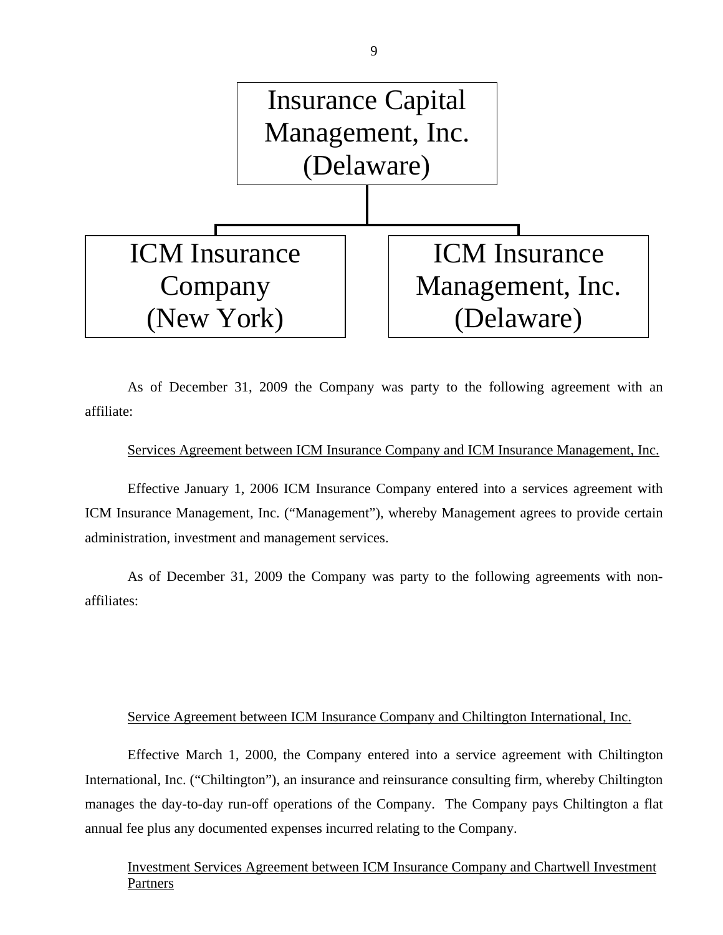

As of December 31, 2009 the Company was party to the following agreement with an affiliate:

#### Services Agreement between ICM Insurance Company and ICM Insurance Management, Inc.

Effective January 1, 2006 ICM Insurance Company entered into a services agreement with ICM Insurance Management, Inc. ("Management"), whereby Management agrees to provide certain administration, investment and management services.

As of December 31, 2009 the Company was party to the following agreements with nonaffiliates:

### Service Agreement between ICM Insurance Company and Chiltington International, Inc.

Effective March 1, 2000, the Company entered into a service agreement with Chiltington International, Inc. ("Chiltington"), an insurance and reinsurance consulting firm, whereby Chiltington manages the day-to-day run-off operations of the Company. The Company pays Chiltington a flat annual fee plus any documented expenses incurred relating to the Company.

Investment Services Agreement between ICM Insurance Company and Chartwell Investment Partners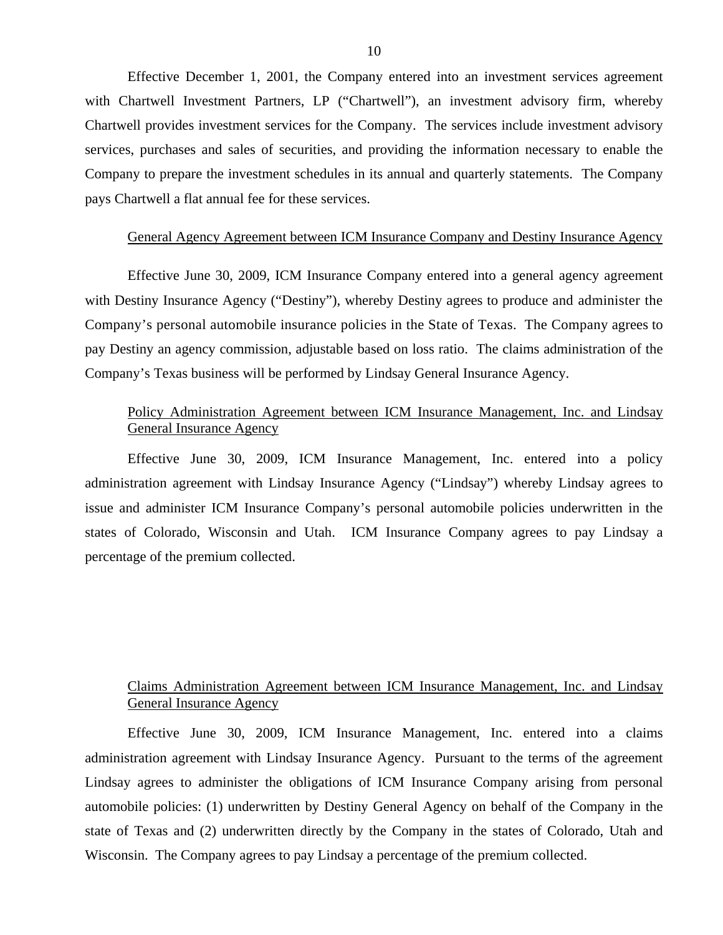Effective December 1, 2001, the Company entered into an investment services agreement with Chartwell Investment Partners, LP ("Chartwell"), an investment advisory firm, whereby Chartwell provides investment services for the Company. The services include investment advisory services, purchases and sales of securities, and providing the information necessary to enable the Company to prepare the investment schedules in its annual and quarterly statements. The Company pays Chartwell a flat annual fee for these services.

#### General Agency Agreement between ICM Insurance Company and Destiny Insurance Agency

 with Destiny Insurance Agency ("Destiny"), whereby Destiny agrees to produce and administer the Company's personal automobile insurance policies in the State of Texas. The Company agrees to Effective June 30, 2009, ICM Insurance Company entered into a general agency agreement pay Destiny an agency commission, adjustable based on loss ratio. The claims administration of the Company's Texas business will be performed by Lindsay General Insurance Agency.

### Policy Administration Agreement between ICM Insurance Management, Inc. and Lindsay General Insurance Agency

Effective June 30, 2009, ICM Insurance Management, Inc. entered into a policy administration agreement with Lindsay Insurance Agency ("Lindsay") whereby Lindsay agrees to issue and administer ICM Insurance Company's personal automobile policies underwritten in the states of Colorado, Wisconsin and Utah. ICM Insurance Company agrees to pay Lindsay a percentage of the premium collected.

# Claims Administration Agreement between ICM Insurance Management, Inc. and Lindsay General Insurance Agency

Effective June 30, 2009, ICM Insurance Management, Inc. entered into a claims administration agreement with Lindsay Insurance Agency. Pursuant to the terms of the agreement Lindsay agrees to administer the obligations of ICM Insurance Company arising from personal automobile policies: (1) underwritten by Destiny General Agency on behalf of the Company in the state of Texas and (2) underwritten directly by the Company in the states of Colorado, Utah and Wisconsin. The Company agrees to pay Lindsay a percentage of the premium collected.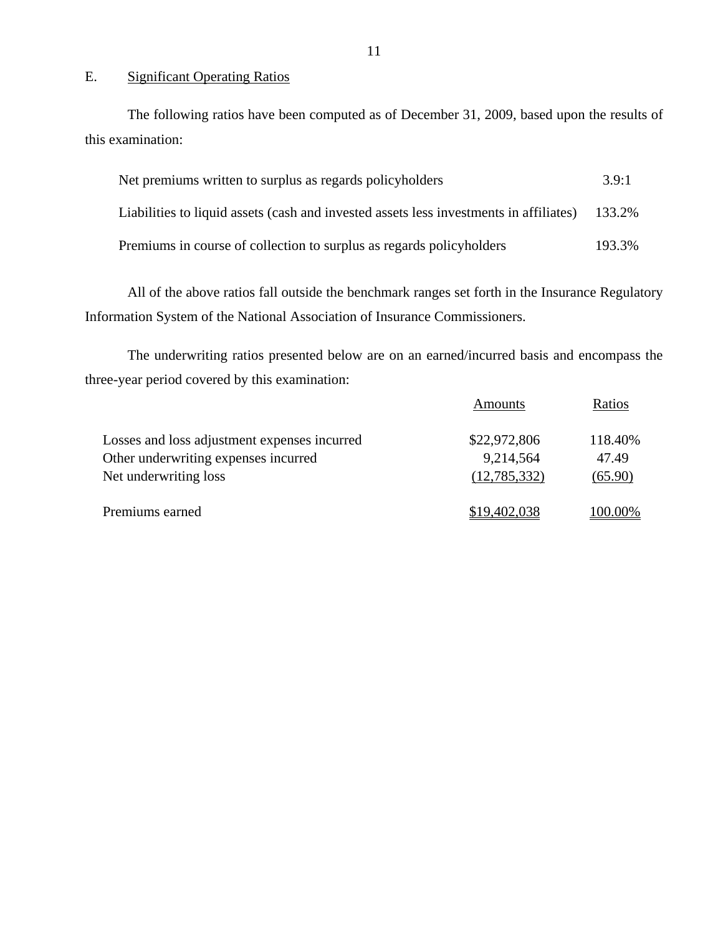## E. Significant Operating Ratios

The following ratios have been computed as of December 31, 2009, based upon the results of this examination:

| Net premiums written to surplus as regards policyholders                                      |        |  |
|-----------------------------------------------------------------------------------------------|--------|--|
| Liabilities to liquid assets (cash and invested assets less investments in affiliates) 133.2% |        |  |
| Premiums in course of collection to surplus as regards policyholders                          | 193.3% |  |

All of the above ratios fall outside the benchmark ranges set forth in the Insurance Regulatory Information System of the National Association of Insurance Commissioners.

The underwriting ratios presented below are on an earned/incurred basis and encompass the three-year period covered by this examination:

|                                                                                      | Amounts                   | Ratios           |
|--------------------------------------------------------------------------------------|---------------------------|------------------|
| Losses and loss adjustment expenses incurred<br>Other underwriting expenses incurred | \$22,972,806<br>9,214,564 | 118.40%<br>47.49 |
| Net underwriting loss                                                                | (12,785,332)              | (65.90)          |
| Premiums earned                                                                      | \$19,402,038              | 100.00%          |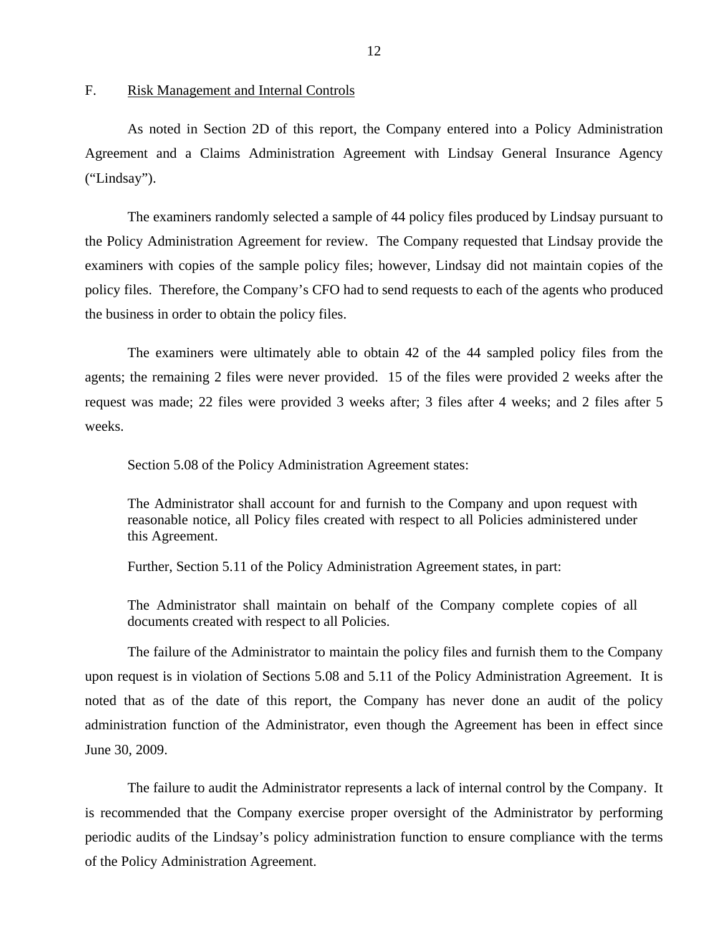<span id="page-13-0"></span>F. Risk Management and Internal Controls

As noted in Section 2D of this report, the Company entered into a Policy Administration Agreement and a Claims Administration Agreement with Lindsay General Insurance Agency ("Lindsay").

The examiners randomly selected a sample of 44 policy files produced by Lindsay pursuant to the Policy Administration Agreement for review. The Company requested that Lindsay provide the examiners with copies of the sample policy files; however, Lindsay did not maintain copies of the policy files. Therefore, the Company's CFO had to send requests to each of the agents who produced the business in order to obtain the policy files.

The examiners were ultimately able to obtain 42 of the 44 sampled policy files from the agents; the remaining 2 files were never provided. 15 of the files were provided 2 weeks after the request was made; 22 files were provided 3 weeks after; 3 files after 4 weeks; and 2 files after 5 weeks.

Section 5.08 of the Policy Administration Agreement states:

The Administrator shall account for and furnish to the Company and upon request with reasonable notice, all Policy files created with respect to all Policies administered under this Agreement.

Further, Section 5.11 of the Policy Administration Agreement states, in part:

The Administrator shall maintain on behalf of the Company complete copies of all documents created with respect to all Policies.

The failure of the Administrator to maintain the policy files and furnish them to the Company upon request is in violation of Sections 5.08 and 5.11 of the Policy Administration Agreement. It is noted that as of the date of this report, the Company has never done an audit of the policy administration function of the Administrator, even though the Agreement has been in effect since June 30, 2009.

The failure to audit the Administrator represents a lack of internal control by the Company. It is recommended that the Company exercise proper oversight of the Administrator by performing periodic audits of the Lindsay's policy administration function to ensure compliance with the terms of the Policy Administration Agreement.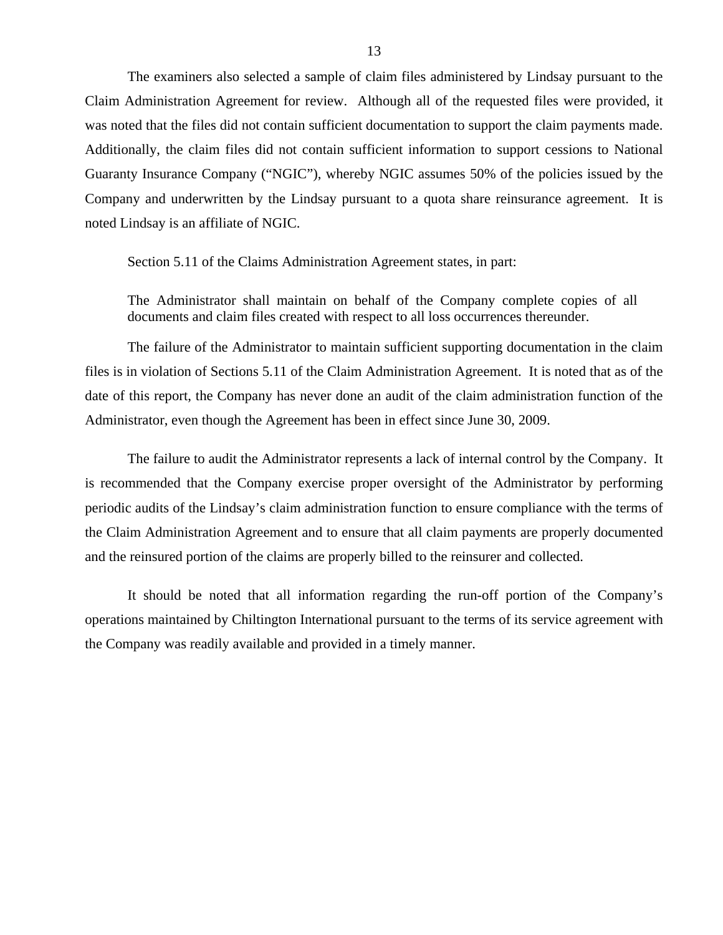The examiners also selected a sample of claim files administered by Lindsay pursuant to the Claim Administration Agreement for review. Although all of the requested files were provided, it was noted that the files did not contain sufficient documentation to support the claim payments made. Additionally, the claim files did not contain sufficient information to support cessions to National Guaranty Insurance Company ("NGIC"), whereby NGIC assumes 50% of the policies issued by the Company and underwritten by the Lindsay pursuant to a quota share reinsurance agreement. It is noted Lindsay is an affiliate of NGIC.

Section 5.11 of the Claims Administration Agreement states, in part:

The Administrator shall maintain on behalf of the Company complete copies of all documents and claim files created with respect to all loss occurrences thereunder.

The failure of the Administrator to maintain sufficient supporting documentation in the claim files is in violation of Sections 5.11 of the Claim Administration Agreement. It is noted that as of the date of this report, the Company has never done an audit of the claim administration function of the Administrator, even though the Agreement has been in effect since June 30, 2009.

The failure to audit the Administrator represents a lack of internal control by the Company. It is recommended that the Company exercise proper oversight of the Administrator by performing periodic audits of the Lindsay's claim administration function to ensure compliance with the terms of the Claim Administration Agreement and to ensure that all claim payments are properly documented and the reinsured portion of the claims are properly billed to the reinsurer and collected.

It should be noted that all information regarding the run-off portion of the Company's operations maintained by Chiltington International pursuant to the terms of its service agreement with the Company was readily available and provided in a timely manner.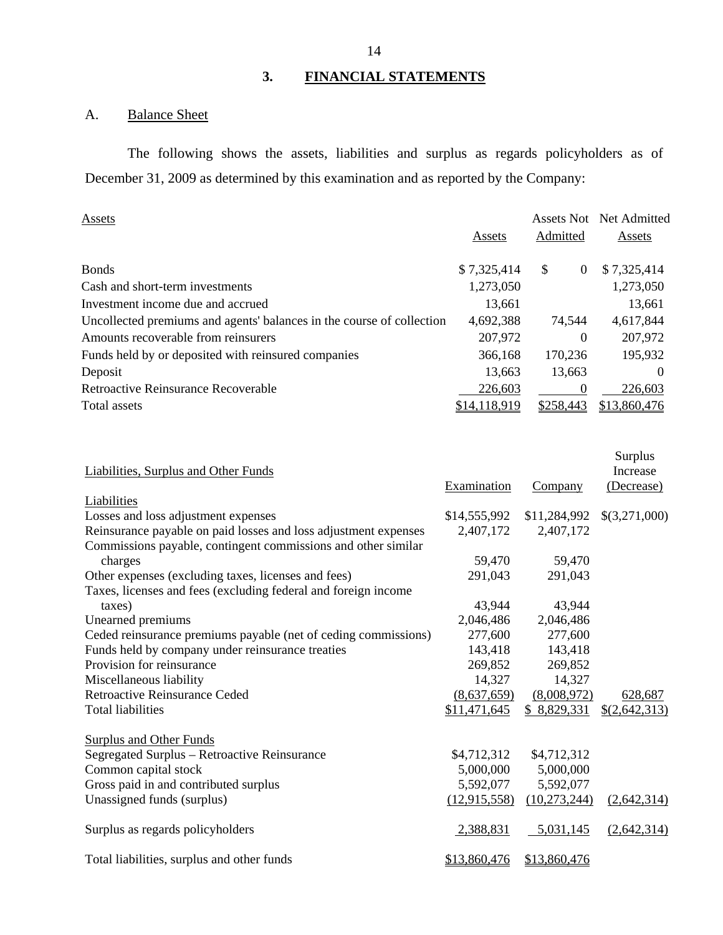# **3. FINANCIAL STATEMENTS**

# A. Balance Sheet

The following shows the assets, liabilities and surplus as regards policyholders as of December 31, 2009 as determined by this examination and as reported by the Company:

| Admitted<br>Assets<br>Assets<br>\$7,325,414<br><b>Bonds</b><br>\$<br>\$7,325,414<br>$\theta$<br>1,273,050<br>1,273,050<br>Cash and short-term investments<br>Investment income due and accrued<br>13,661<br>13,661<br>4,617,844<br>Uncollected premiums and agents' balances in the course of collection<br>4,692,388<br>74.544<br>207,972<br>Amounts recoverable from reinsurers<br>207,972<br>$\theta$<br>195,932<br>Funds held by or deposited with reinsured companies<br>170,236<br>366,168<br>Deposit<br>13,663<br>13,663<br>$\Omega$<br><b>Retroactive Reinsurance Recoverable</b><br>226,603<br>226,603<br>\$14,118,919<br>\$258,443<br>\$13,860,476<br>Total assets | Assets | Assets Not | Net Admitted |
|------------------------------------------------------------------------------------------------------------------------------------------------------------------------------------------------------------------------------------------------------------------------------------------------------------------------------------------------------------------------------------------------------------------------------------------------------------------------------------------------------------------------------------------------------------------------------------------------------------------------------------------------------------------------------|--------|------------|--------------|
|                                                                                                                                                                                                                                                                                                                                                                                                                                                                                                                                                                                                                                                                              |        |            |              |
|                                                                                                                                                                                                                                                                                                                                                                                                                                                                                                                                                                                                                                                                              |        |            |              |
|                                                                                                                                                                                                                                                                                                                                                                                                                                                                                                                                                                                                                                                                              |        |            |              |
|                                                                                                                                                                                                                                                                                                                                                                                                                                                                                                                                                                                                                                                                              |        |            |              |
|                                                                                                                                                                                                                                                                                                                                                                                                                                                                                                                                                                                                                                                                              |        |            |              |
|                                                                                                                                                                                                                                                                                                                                                                                                                                                                                                                                                                                                                                                                              |        |            |              |
|                                                                                                                                                                                                                                                                                                                                                                                                                                                                                                                                                                                                                                                                              |        |            |              |
|                                                                                                                                                                                                                                                                                                                                                                                                                                                                                                                                                                                                                                                                              |        |            |              |
|                                                                                                                                                                                                                                                                                                                                                                                                                                                                                                                                                                                                                                                                              |        |            |              |
|                                                                                                                                                                                                                                                                                                                                                                                                                                                                                                                                                                                                                                                                              |        |            |              |

| Liabilities, Surplus and Other Funds                            |                |                | Surplus<br>Increase |
|-----------------------------------------------------------------|----------------|----------------|---------------------|
|                                                                 | Examination    | Company        | (Decrease)          |
| Liabilities                                                     |                |                |                     |
| Losses and loss adjustment expenses                             | \$14,555,992   | \$11,284,992   | \$(3,271,000)       |
| Reinsurance payable on paid losses and loss adjustment expenses | 2,407,172      | 2,407,172      |                     |
| Commissions payable, contingent commissions and other similar   |                |                |                     |
| charges                                                         | 59,470         | 59,470         |                     |
|                                                                 |                |                |                     |
| Other expenses (excluding taxes, licenses and fees)             | 291,043        | 291,043        |                     |
| Taxes, licenses and fees (excluding federal and foreign income  |                |                |                     |
| taxes)                                                          | 43,944         | 43,944         |                     |
| Unearned premiums                                               | 2,046,486      | 2,046,486      |                     |
| Ceded reinsurance premiums payable (net of ceding commissions)  | 277,600        | 277,600        |                     |
| Funds held by company under reinsurance treaties                | 143,418        | 143,418        |                     |
| Provision for reinsurance                                       | 269,852        | 269,852        |                     |
| Miscellaneous liability                                         | 14,327         | 14,327         |                     |
| <b>Retroactive Reinsurance Ceded</b>                            | (8,637,659)    | (8,008,972)    | 628,687             |
| <b>Total liabilities</b>                                        | \$11,471,645   | \$8,829,331    | \$(2,642,313)       |
| <b>Surplus and Other Funds</b>                                  |                |                |                     |
| Segregated Surplus – Retroactive Reinsurance                    | \$4,712,312    | \$4,712,312    |                     |
| Common capital stock                                            | 5,000,000      | 5,000,000      |                     |
| Gross paid in and contributed surplus                           | 5,592,077      | 5,592,077      |                     |
| Unassigned funds (surplus)                                      | (12, 915, 558) | (10, 273, 244) | (2,642,314)         |
|                                                                 |                |                |                     |
| Surplus as regards policyholders                                | 2,388,831      | 5,031,145      | (2,642,314)         |
| Total liabilities, surplus and other funds                      | \$13,860,476   | \$13,860,476   |                     |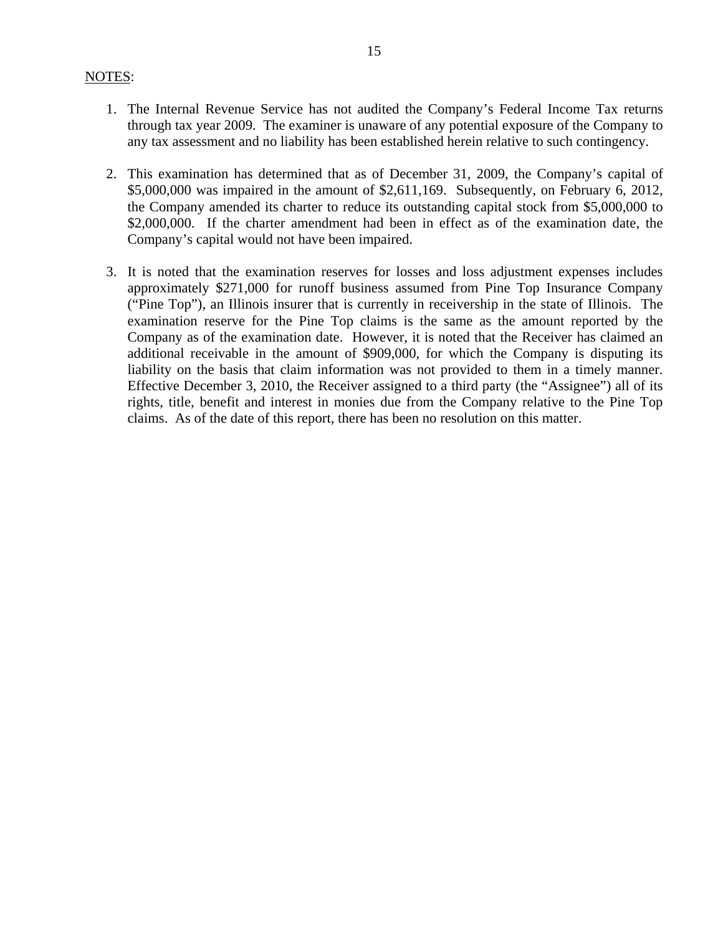#### NOTES:

- 1. The Internal Revenue Service has not audited the Company's Federal Income Tax returns through tax year 2009. The examiner is unaware of any potential exposure of the Company to any tax assessment and no liability has been established herein relative to such contingency.
- 2. This examination has determined that as of December 31, 2009, the Company's capital of \$5,000,000 was impaired in the amount of \$2,611,169. Subsequently, on February 6, 2012, the Company amended its charter to reduce its outstanding capital stock from \$5,000,000 to \$2,000,000. If the charter amendment had been in effect as of the examination date, the Company's capital would not have been impaired.
- 3. It is noted that the examination reserves for losses and loss adjustment expenses includes approximately \$271,000 for runoff business assumed from Pine Top Insurance Company ("Pine Top"), an Illinois insurer that is currently in receivership in the state of Illinois. The examination reserve for the Pine Top claims is the same as the amount reported by the Company as of the examination date. However, it is noted that the Receiver has claimed an additional receivable in the amount of \$909,000, for which the Company is disputing its liability on the basis that claim information was not provided to them in a timely manner. Effective December 3, 2010, the Receiver assigned to a third party (the "Assignee") all of its rights, title, benefit and interest in monies due from the Company relative to the Pine Top claims. As of the date of this report, there has been no resolution on this matter.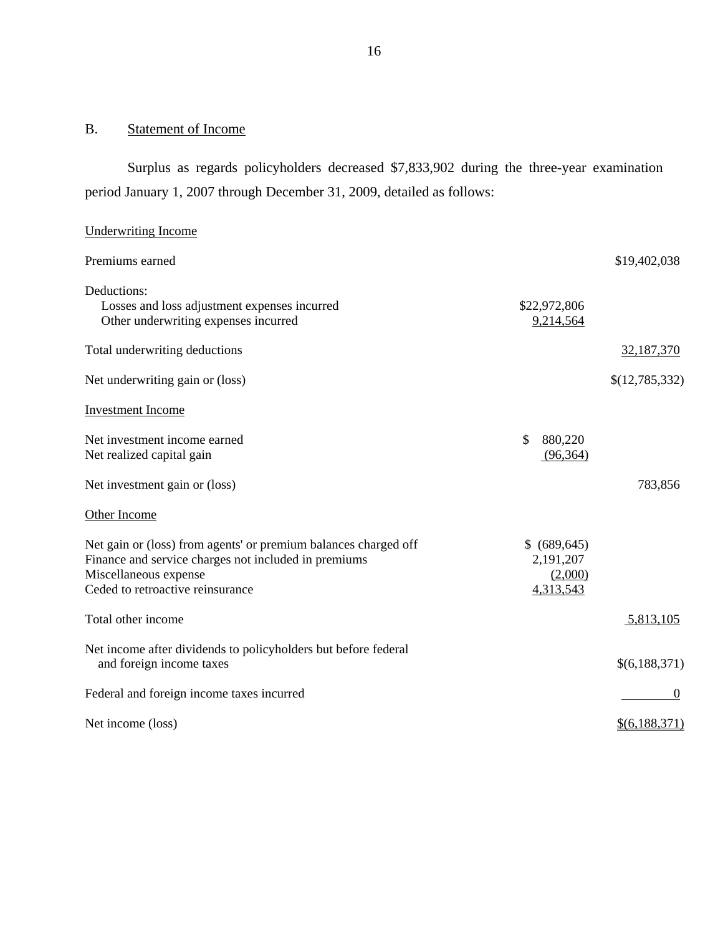# B. Statement of Income

Surplus as regards policyholders decreased \$7,833,902 during the three-year examination period January 1, 2007 through December 31, 2009, detailed as follows:

| <b>Underwriting Income</b>                                                                                                                                                           |                                                    |                |
|--------------------------------------------------------------------------------------------------------------------------------------------------------------------------------------|----------------------------------------------------|----------------|
| Premiums earned                                                                                                                                                                      |                                                    | \$19,402,038   |
| Deductions:<br>Losses and loss adjustment expenses incurred<br>Other underwriting expenses incurred                                                                                  | \$22,972,806<br>9,214,564                          |                |
| Total underwriting deductions                                                                                                                                                        |                                                    | 32,187,370     |
| Net underwriting gain or (loss)                                                                                                                                                      |                                                    | \$(12,785,332) |
| <b>Investment</b> Income                                                                                                                                                             |                                                    |                |
| Net investment income earned<br>Net realized capital gain                                                                                                                            | \$<br>880,220<br>(96, 364)                         |                |
| Net investment gain or (loss)                                                                                                                                                        |                                                    | 783,856        |
| Other Income                                                                                                                                                                         |                                                    |                |
| Net gain or (loss) from agents' or premium balances charged off<br>Finance and service charges not included in premiums<br>Miscellaneous expense<br>Ceded to retroactive reinsurance | \$ (689, 645)<br>2,191,207<br>(2,000)<br>4,313,543 |                |
| Total other income                                                                                                                                                                   |                                                    | 5,813,105      |
| Net income after dividends to policyholders but before federal<br>and foreign income taxes                                                                                           |                                                    | \$(6,188,371)  |
| Federal and foreign income taxes incurred                                                                                                                                            |                                                    | $\theta$       |
| Net income (loss)                                                                                                                                                                    |                                                    | \$(6,188,371)  |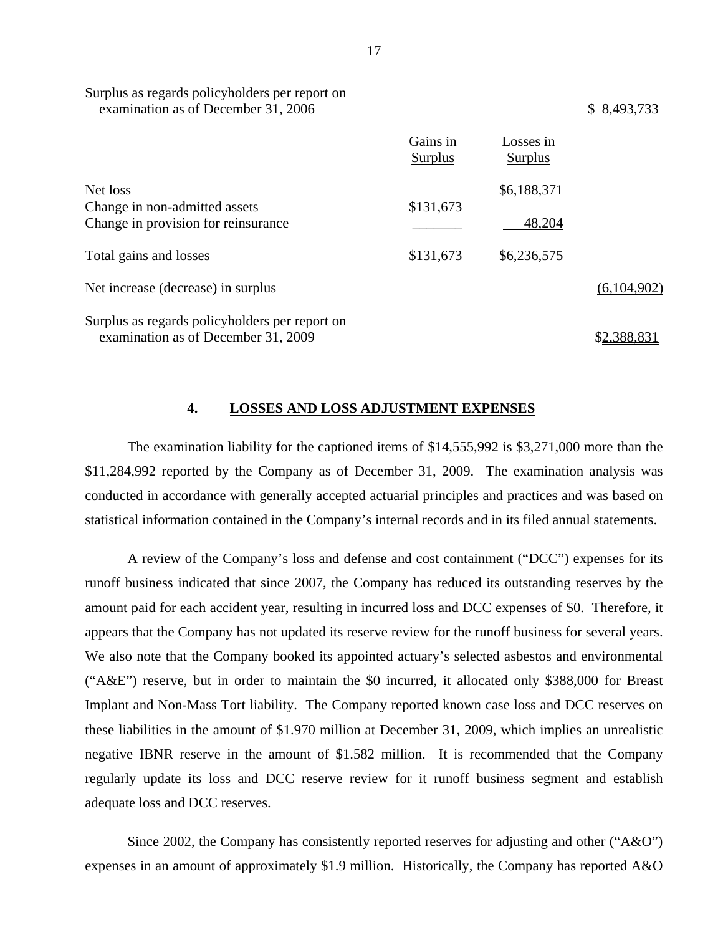|                                                                                       | Gains in<br><b>Surplus</b> | Losses in<br><b>Surplus</b> |             |
|---------------------------------------------------------------------------------------|----------------------------|-----------------------------|-------------|
| Net loss                                                                              |                            | \$6,188,371                 |             |
| Change in non-admitted assets<br>Change in provision for reinsurance                  | \$131,673                  | 48,204                      |             |
| Total gains and losses                                                                | \$131,673                  | \$6,236,575                 |             |
| Net increase (decrease) in surplus                                                    |                            |                             | (6,104,902) |
| Surplus as regards policyholders per report on<br>examination as of December 31, 2009 |                            |                             | \$2,388,831 |

#### Surplus as regards policyholders per report on examination as of December 31, 2006  $$ 8,493,733$

#### **4. LOSSES AND LOSS ADJUSTMENT EXPENSES**

The examination liability for the captioned items of \$14,555,992 is \$3,271,000 more than the \$11,284,992 reported by the Company as of December 31, 2009. The examination analysis was conducted in accordance with generally accepted actuarial principles and practices and was based on statistical information contained in the Company's internal records and in its filed annual statements.

A review of the Company's loss and defense and cost containment ("DCC") expenses for its runoff business indicated that since 2007, the Company has reduced its outstanding reserves by the amount paid for each accident year, resulting in incurred loss and DCC expenses of \$0. Therefore, it appears that the Company has not updated its reserve review for the runoff business for several years. We also note that the Company booked its appointed actuary's selected asbestos and environmental ("A&E") reserve, but in order to maintain the \$0 incurred, it allocated only \$388,000 for Breast Implant and Non-Mass Tort liability. The Company reported known case loss and DCC reserves on these liabilities in the amount of \$1.970 million at December 31, 2009, which implies an unrealistic negative IBNR reserve in the amount of \$1.582 million. It is recommended that the Company regularly update its loss and DCC reserve review for it runoff business segment and establish adequate loss and DCC reserves.

Since 2002, the Company has consistently reported reserves for adjusting and other ("A&O") expenses in an amount of approximately \$1.9 million. Historically, the Company has reported A&O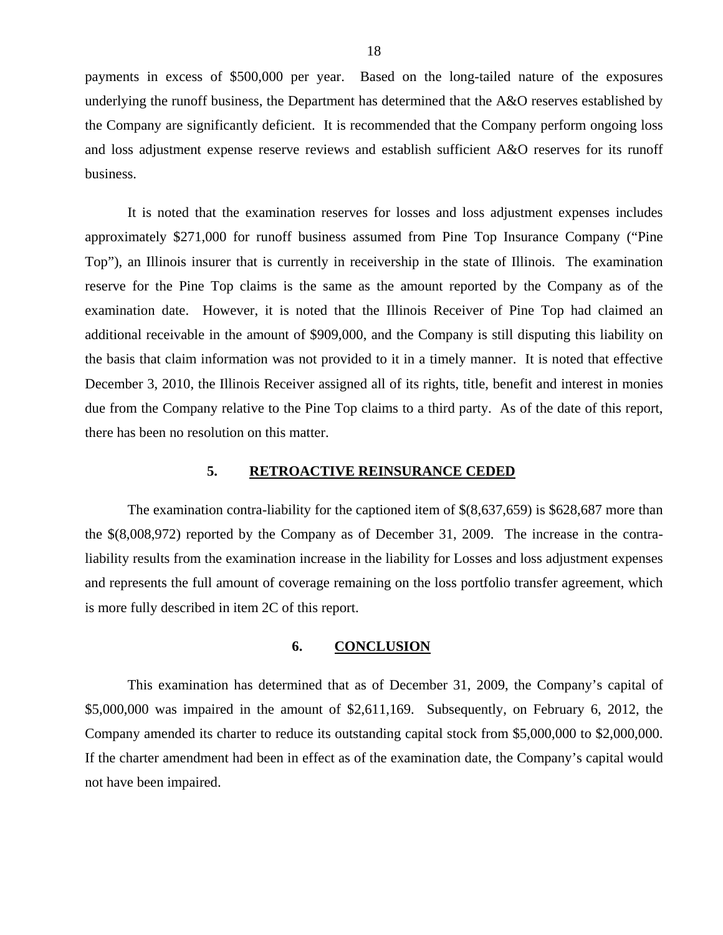<span id="page-19-0"></span>payments in excess of \$500,000 per year. Based on the long-tailed nature of the exposures underlying the runoff business, the Department has determined that the A&O reserves established by the Company are significantly deficient. It is recommended that the Company perform ongoing loss and loss adjustment expense reserve reviews and establish sufficient A&O reserves for its runoff business.

It is noted that the examination reserves for losses and loss adjustment expenses includes approximately \$271,000 for runoff business assumed from Pine Top Insurance Company ("Pine Top"), an Illinois insurer that is currently in receivership in the state of Illinois. The examination reserve for the Pine Top claims is the same as the amount reported by the Company as of the examination date. However, it is noted that the Illinois Receiver of Pine Top had claimed an additional receivable in the amount of \$909,000, and the Company is still disputing this liability on the basis that claim information was not provided to it in a timely manner. It is noted that effective December 3, 2010, the Illinois Receiver assigned all of its rights, title, benefit and interest in monies due from the Company relative to the Pine Top claims to a third party. As of the date of this report, there has been no resolution on this matter.

#### **5. RETROACTIVE REINSURANCE CEDED**

The examination contra-liability for the captioned item of \$(8,637,659) is \$628,687 more than the \$(8,008,972) reported by the Company as of December 31, 2009. The increase in the contraliability results from the examination increase in the liability for Losses and loss adjustment expenses and represents the full amount of coverage remaining on the loss portfolio transfer agreement, which is more fully described in item 2C of this report.

#### **6. CONCLUSION**

This examination has determined that as of December 31, 2009, the Company's capital of \$5,000,000 was impaired in the amount of \$2,611,169. Subsequently, on February 6, 2012, the Company amended its charter to reduce its outstanding capital stock from \$5,000,000 to \$2,000,000. If the charter amendment had been in effect as of the examination date, the Company's capital would not have been impaired.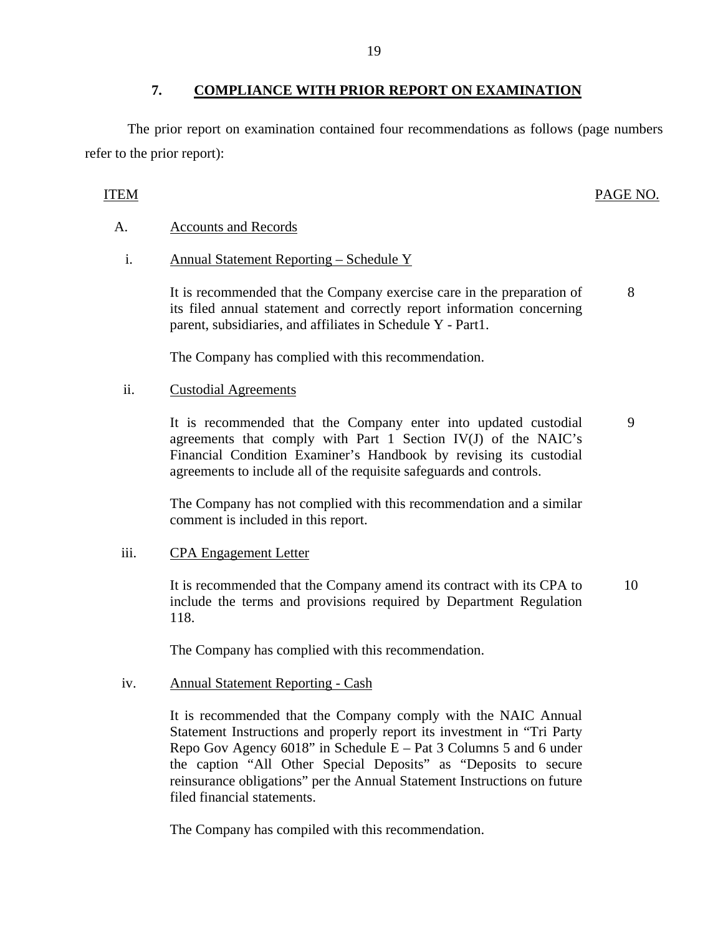## **7. COMPLIANCE WITH PRIOR REPORT ON EXAMINATION**

The prior report on examination contained four recommendations as follows (page numbers refer to the prior report):

#### ITEM PAGE NO.

#### **Accounts and Records**

Annual Statement Reporting - Schedule Y

A. Accounts and Records<br>i. Annual Statement Reporting – Schedule Y<br>It is recommended that the Company exercise care in the preparation of its filed annual statement and correctly report information concerning parent, subsidiaries, and affiliates in Schedule Y - Part1. 8

The Company has complied with this recommendation.

#### **Custodial Agreements**

ii. Custodial Agreements<br>It is recommended that the Company enter into updated custodial agreements that comply with Part 1 Section IV(J) of the NAIC's Financial Condition Examiner's Handbook by revising its custodial agreements to include all of the requisite safeguards and controls. 9

The Company has not complied with this recommendation and a similar comment is included in this report.

#### **CPA** Engagement Letter

iii. CPA Engagement Letter<br>It is recommended that the Company amend its contract with its CPA to include the terms and provisions required by Department Regulation 118. 10

The Company has complied with this recommendation.

#### **Annual Statement Reporting - Cash**

iv. Annual Statement Reporting - Cash<br>It is recommended that the Company comply with the NAIC Annual Statement Instructions and properly report its investment in "Tri Party Repo Gov Agency  $6018$ " in Schedule E – Pat 3 Columns 5 and 6 under the caption "All Other Special Deposits" as "Deposits to secure reinsurance obligations" per the Annual Statement Instructions on future filed financial statements.

The Company has compiled with this recommendation.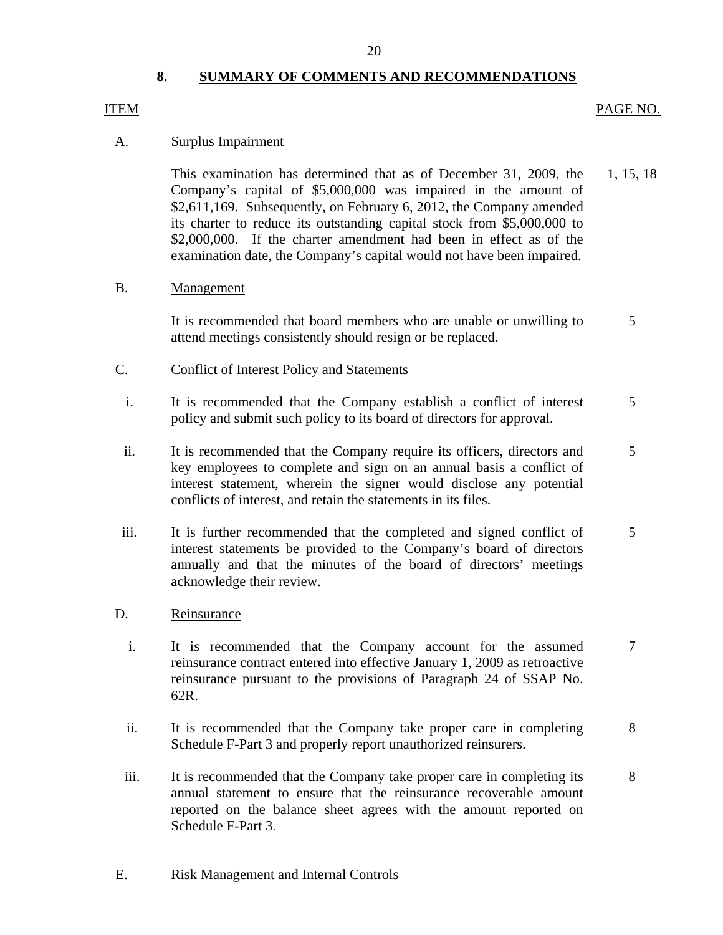#### 20

#### **8. SUMMARY OF COMMENTS AND RECOMMENDATIONS**

#### ITEM

#### Surplus Impairment

A. Surplus Impairment<br>This examination has determined that as of December 31, 2009, the Company's capital of \$5,000,000 was impaired in the amount of \$2,611,169. Subsequently, on February 6, 2012, the Company amended its charter to reduce its outstanding capital stock from \$5,000,000 to \$2,000,000. If the charter amendment had been in effect as of the examination date, the Company's capital would not have been impaired. EXALLE STEP INTO THE CONTROLLED TRANSFACT THE CONTROLLED TRANSFACT THE CONTROLLED CONTROLLED TRANSFACT THE CONTROLLED CONTROLLED TRANSFACT THE CONTROLLED SACTION CONTROLLED SACTION CONTROLLED SACTION CONTROLLED SACTION CON 1, 15, 18

#### Management

B. Management<br>It is recommended that board members who are unable or unwilling to attend meetings consistently should resign or be replaced. 5

- Conflict of Interest Policy and Statements
- C. Conflict of Interest Policy and Statements<br>i. It is recommended that the Company establish a conflict of interest policy and submit such policy to its board of directors for approval. 5
	- ii. It is recommended that the Company require its officers, directors and key employees to complete and sign on an annual basis a conflict of interest statement, wherein the signer would disclose any potential conflicts of interest, and retain the statements in its files. 5
- iii. It is further recommended that the completed and signed conflict of interest statements be provided to the Company's board of directors annually and that the minutes of the board of directors' meetings acknowledge their review. 5
- Reinsurance
- D. <u>Reinsurance</u><br>i. It is recommended that the Company account for the assumed reinsurance contract entered into effective January 1, 2009 as retroactive reinsurance pursuant to the provisions of Paragraph 24 of SSAP No. 62R. 7
	- ii. It is recommended that the Company take proper care in completing Schedule F-Part 3 and properly report unauthorized reinsurers. 8
	- iii. It is recommended that the Company take proper care in completing its annual statement to ensure that the reinsurance recoverable amount reported on the balance sheet agrees with the amount reported on Schedule F-Part 3. 8

#### **Risk Management and Internal Controls**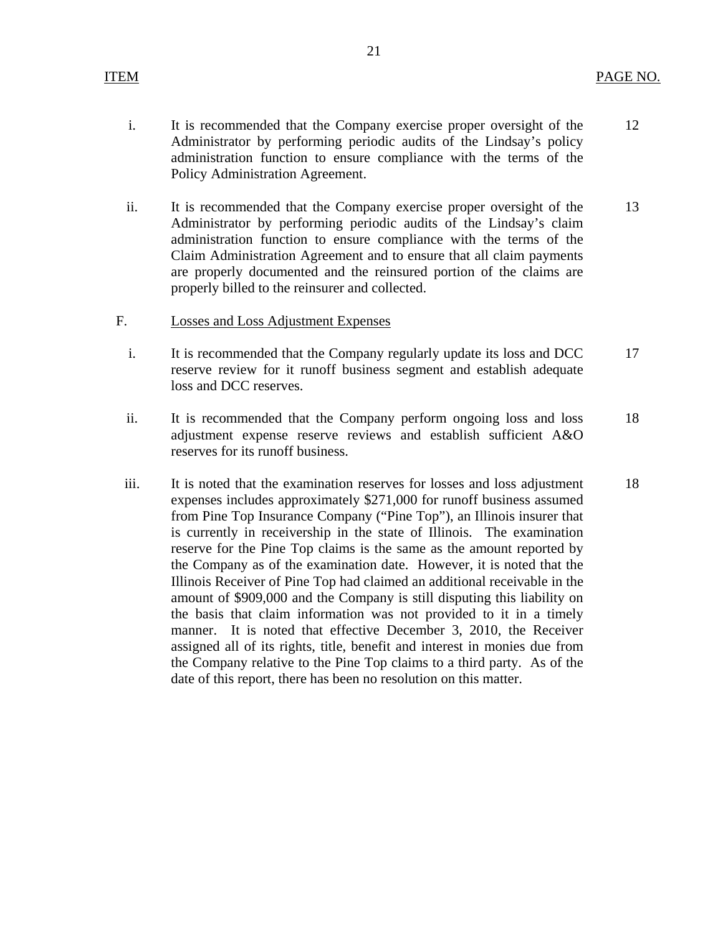21

- ii. It is recommended that the Company exercise proper oversight of the Administrator by performing periodic audits of the Lindsay's claim administration function to ensure compliance with the terms of the Claim Administration Agreement and to ensure that all claim payments are properly documented and the reinsured portion of the claims are properly billed to the reinsurer and collected.
- **Losses and Loss Adjustment Expenses**
- F. Losses and Loss Adjustment Expenses<br>i. It is recommended that the Company regularly update its loss and DCC reserve review for it runoff business segment and establish adequate loss and DCC reserves.
	- ii. It is recommended that the Company perform ongoing loss and loss adjustment expense reserve reviews and establish sufficient A&O reserves for its runoff business. 18
	- iii. It is noted that the examination reserves for losses and loss adjustment expenses includes approximately \$271,000 for runoff business assumed from Pine Top Insurance Company ("Pine Top"), an Illinois insurer that is currently in receivership in the state of Illinois. The examination reserve for the Pine Top claims is the same as the amount reported by the Company as of the examination date. However, it is noted that the Illinois Receiver of Pine Top had claimed an additional receivable in the amount of \$909,000 and the Company is still disputing this liability on the basis that claim information was not provided to it in a timely manner. It is noted that effective December 3, 2010, the Receiver assigned all of its rights, title, benefit and interest in monies due from the Company relative to the Pine Top claims to a third party. As of the date of this report, there has been no resolution on this matter. 18

13

17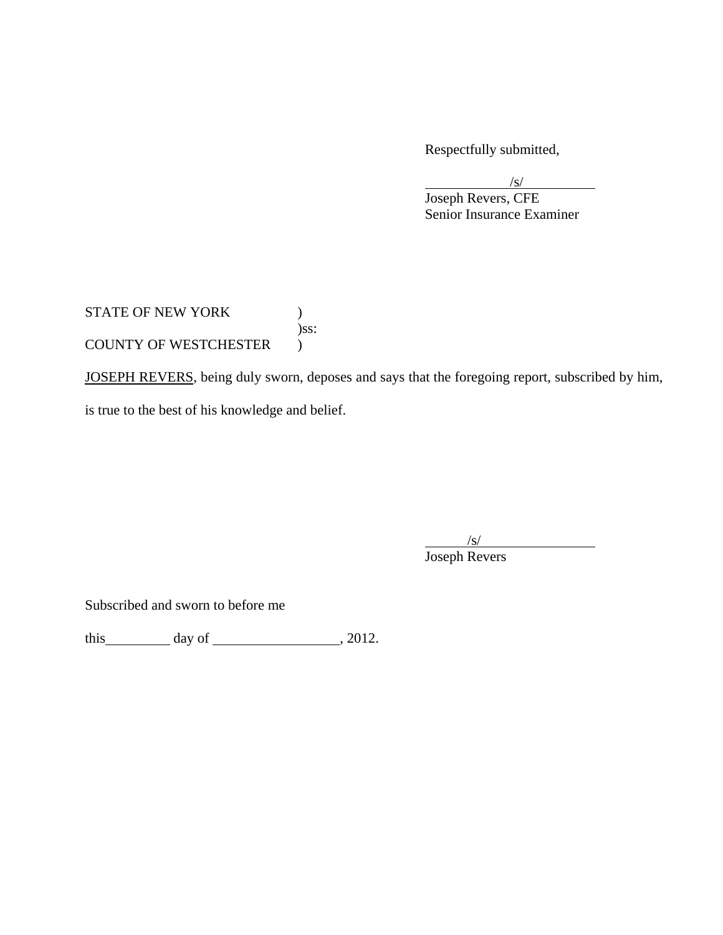Respectfully submitted,

 Joseph Revers, CFE Senior Insurance Examiner

STATE OF NEW YORK  $)$  )ss: COUNTY OF WESTCHESTER )

JOSEPH REVERS, being duly sworn, deposes and says that the foregoing report, subscribed by him, is true to the best of his knowledge and belief.

 $\frac{1}{s}$ 

 $\sqrt{s}$ 

 $\overline{\phantom{a}}$ 

Joseph Revers

Subscribed and sworn to before me

this day of  $\qquad \qquad$  , 2012.